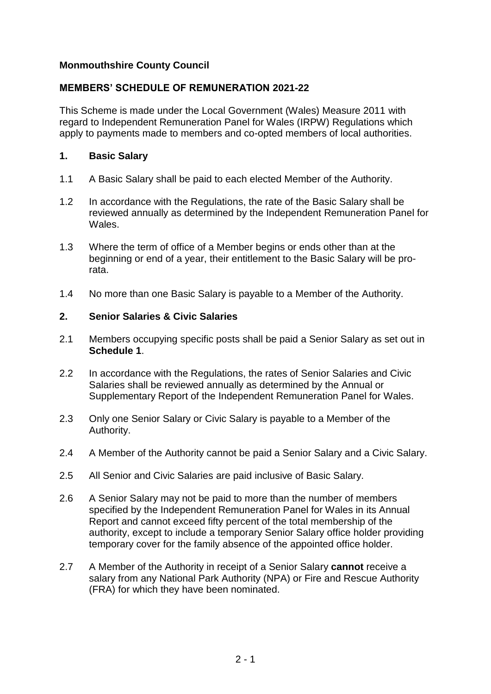## **Monmouthshire County Council**

## **MEMBERS' SCHEDULE OF REMUNERATION 2021-22**

This Scheme is made under the Local Government (Wales) Measure 2011 with regard to Independent Remuneration Panel for Wales (IRPW) Regulations which apply to payments made to members and co-opted members of local authorities.

### **1. Basic Salary**

- 1.1 A Basic Salary shall be paid to each elected Member of the Authority.
- 1.2 In accordance with the Regulations, the rate of the Basic Salary shall be reviewed annually as determined by the Independent Remuneration Panel for Wales.
- 1.3 Where the term of office of a Member begins or ends other than at the beginning or end of a year, their entitlement to the Basic Salary will be prorata.
- 1.4 No more than one Basic Salary is payable to a Member of the Authority.

### **2. Senior Salaries & Civic Salaries**

- 2.1 Members occupying specific posts shall be paid a Senior Salary as set out in **Schedule 1**.
- 2.2 In accordance with the Regulations, the rates of Senior Salaries and Civic Salaries shall be reviewed annually as determined by the Annual or Supplementary Report of the Independent Remuneration Panel for Wales.
- 2.3 Only one Senior Salary or Civic Salary is payable to a Member of the Authority.
- 2.4 A Member of the Authority cannot be paid a Senior Salary and a Civic Salary.
- 2.5 All Senior and Civic Salaries are paid inclusive of Basic Salary.
- 2.6 A Senior Salary may not be paid to more than the number of members specified by the Independent Remuneration Panel for Wales in its Annual Report and cannot exceed fifty percent of the total membership of the authority, except to include a temporary Senior Salary office holder providing temporary cover for the family absence of the appointed office holder.
- 2.7 A Member of the Authority in receipt of a Senior Salary **cannot** receive a salary from any National Park Authority (NPA) or Fire and Rescue Authority (FRA) for which they have been nominated.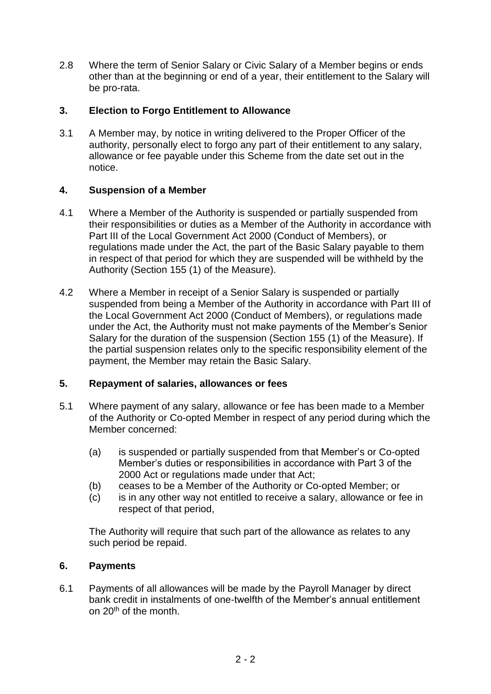2.8 Where the term of Senior Salary or Civic Salary of a Member begins or ends other than at the beginning or end of a year, their entitlement to the Salary will be pro-rata.

## **3. Election to Forgo Entitlement to Allowance**

3.1 A Member may, by notice in writing delivered to the Proper Officer of the authority, personally elect to forgo any part of their entitlement to any salary, allowance or fee payable under this Scheme from the date set out in the notice.

## **4. Suspension of a Member**

- 4.1 Where a Member of the Authority is suspended or partially suspended from their responsibilities or duties as a Member of the Authority in accordance with Part III of the Local Government Act 2000 (Conduct of Members), or regulations made under the Act, the part of the Basic Salary payable to them in respect of that period for which they are suspended will be withheld by the Authority (Section 155 (1) of the Measure).
- 4.2 Where a Member in receipt of a Senior Salary is suspended or partially suspended from being a Member of the Authority in accordance with Part III of the Local Government Act 2000 (Conduct of Members), or regulations made under the Act, the Authority must not make payments of the Member's Senior Salary for the duration of the suspension (Section 155 (1) of the Measure). If the partial suspension relates only to the specific responsibility element of the payment, the Member may retain the Basic Salary.

## **5. Repayment of salaries, allowances or fees**

- 5.1 Where payment of any salary, allowance or fee has been made to a Member of the Authority or Co-opted Member in respect of any period during which the Member concerned:
	- (a) is suspended or partially suspended from that Member's or Co-opted Member's duties or responsibilities in accordance with Part 3 of the 2000 Act or regulations made under that Act;
	- (b) ceases to be a Member of the Authority or Co-opted Member; or
	- (c) is in any other way not entitled to receive a salary, allowance or fee in respect of that period,

The Authority will require that such part of the allowance as relates to any such period be repaid.

## **6. Payments**

6.1 Payments of all allowances will be made by the Payroll Manager by direct bank credit in instalments of one-twelfth of the Member's annual entitlement on 20th of the month.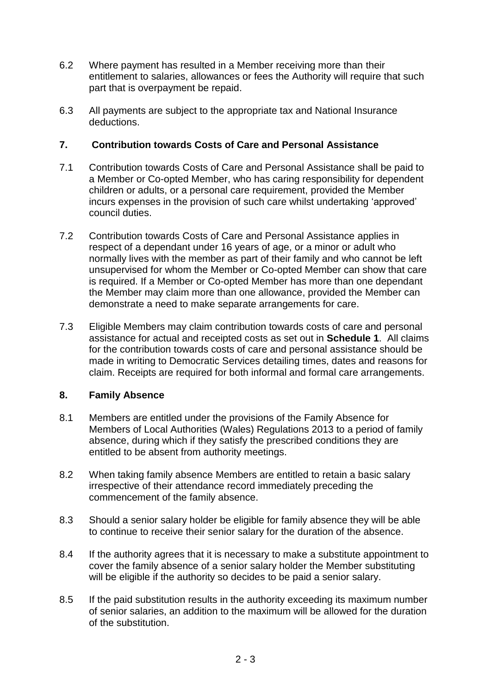- 6.2 Where payment has resulted in a Member receiving more than their entitlement to salaries, allowances or fees the Authority will require that such part that is overpayment be repaid.
- 6.3 All payments are subject to the appropriate tax and National Insurance deductions.

## **7. Contribution towards Costs of Care and Personal Assistance**

- 7.1 Contribution towards Costs of Care and Personal Assistance shall be paid to a Member or Co-opted Member, who has caring responsibility for dependent children or adults, or a personal care requirement, provided the Member incurs expenses in the provision of such care whilst undertaking 'approved' council duties.
- 7.2 Contribution towards Costs of Care and Personal Assistance applies in respect of a dependant under 16 years of age, or a minor or adult who normally lives with the member as part of their family and who cannot be left unsupervised for whom the Member or Co-opted Member can show that care is required. If a Member or Co-opted Member has more than one dependant the Member may claim more than one allowance, provided the Member can demonstrate a need to make separate arrangements for care.
- 7.3 Eligible Members may claim contribution towards costs of care and personal assistance for actual and receipted costs as set out in **Schedule 1**. All claims for the contribution towards costs of care and personal assistance should be made in writing to Democratic Services detailing times, dates and reasons for claim. Receipts are required for both informal and formal care arrangements.

## **8. Family Absence**

- 8.1 Members are entitled under the provisions of the Family Absence for Members of Local Authorities (Wales) Regulations 2013 to a period of family absence, during which if they satisfy the prescribed conditions they are entitled to be absent from authority meetings.
- 8.2 When taking family absence Members are entitled to retain a basic salary irrespective of their attendance record immediately preceding the commencement of the family absence.
- 8.3 Should a senior salary holder be eligible for family absence they will be able to continue to receive their senior salary for the duration of the absence.
- 8.4 If the authority agrees that it is necessary to make a substitute appointment to cover the family absence of a senior salary holder the Member substituting will be eligible if the authority so decides to be paid a senior salary.
- 8.5 If the paid substitution results in the authority exceeding its maximum number of senior salaries, an addition to the maximum will be allowed for the duration of the substitution.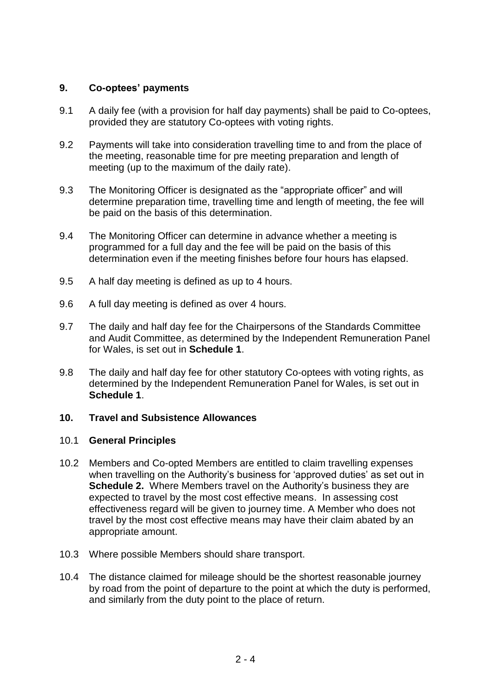## **9. Co-optees' payments**

- 9.1 A daily fee (with a provision for half day payments) shall be paid to Co-optees, provided they are statutory Co-optees with voting rights.
- 9.2 Payments will take into consideration travelling time to and from the place of the meeting, reasonable time for pre meeting preparation and length of meeting (up to the maximum of the daily rate).
- 9.3 The Monitoring Officer is designated as the "appropriate officer" and will determine preparation time, travelling time and length of meeting, the fee will be paid on the basis of this determination.
- 9.4 The Monitoring Officer can determine in advance whether a meeting is programmed for a full day and the fee will be paid on the basis of this determination even if the meeting finishes before four hours has elapsed.
- 9.5 A half day meeting is defined as up to 4 hours.
- 9.6 A full day meeting is defined as over 4 hours.
- 9.7 The daily and half day fee for the Chairpersons of the Standards Committee and Audit Committee, as determined by the Independent Remuneration Panel for Wales, is set out in **Schedule 1**.
- 9.8 The daily and half day fee for other statutory Co-optees with voting rights, as determined by the Independent Remuneration Panel for Wales, is set out in **Schedule 1**.

### **10. Travel and Subsistence Allowances**

### 10.1 **General Principles**

- 10.2 Members and Co-opted Members are entitled to claim travelling expenses when travelling on the Authority's business for 'approved duties' as set out in **Schedule 2.** Where Members travel on the Authority's business they are expected to travel by the most cost effective means. In assessing cost effectiveness regard will be given to journey time. A Member who does not travel by the most cost effective means may have their claim abated by an appropriate amount.
- 10.3 Where possible Members should share transport.
- 10.4 The distance claimed for mileage should be the shortest reasonable journey by road from the point of departure to the point at which the duty is performed, and similarly from the duty point to the place of return.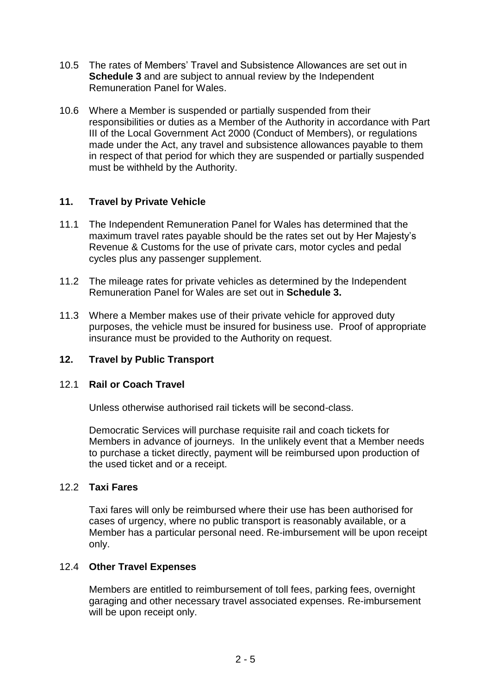- 10.5 The rates of Members' Travel and Subsistence Allowances are set out in **Schedule 3** and are subject to annual review by the Independent Remuneration Panel for Wales.
- 10.6 Where a Member is suspended or partially suspended from their responsibilities or duties as a Member of the Authority in accordance with Part III of the Local Government Act 2000 (Conduct of Members), or regulations made under the Act, any travel and subsistence allowances payable to them in respect of that period for which they are suspended or partially suspended must be withheld by the Authority.

## **11. Travel by Private Vehicle**

- 11.1 The Independent Remuneration Panel for Wales has determined that the maximum travel rates payable should be the rates set out by Her Majesty's Revenue & Customs for the use of private cars, motor cycles and pedal cycles plus any passenger supplement.
- 11.2 The mileage rates for private vehicles as determined by the Independent Remuneration Panel for Wales are set out in **Schedule 3.**
- 11.3 Where a Member makes use of their private vehicle for approved duty purposes, the vehicle must be insured for business use. Proof of appropriate insurance must be provided to the Authority on request.

## **12. Travel by Public Transport**

### 12.1 **Rail or Coach Travel**

Unless otherwise authorised rail tickets will be second-class.

Democratic Services will purchase requisite rail and coach tickets for Members in advance of journeys. In the unlikely event that a Member needs to purchase a ticket directly, payment will be reimbursed upon production of the used ticket and or a receipt.

## 12.2 **Taxi Fares**

Taxi fares will only be reimbursed where their use has been authorised for cases of urgency, where no public transport is reasonably available, or a Member has a particular personal need. Re-imbursement will be upon receipt only.

### 12.4 **Other Travel Expenses**

Members are entitled to reimbursement of toll fees, parking fees, overnight garaging and other necessary travel associated expenses. Re-imbursement will be upon receipt only.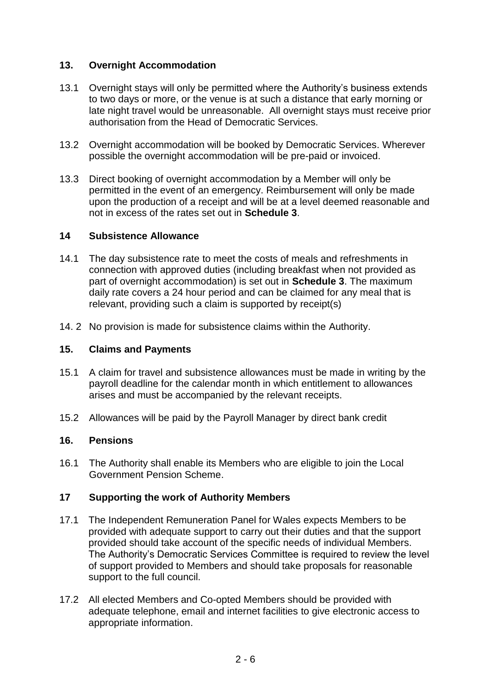## **13. Overnight Accommodation**

- 13.1 Overnight stays will only be permitted where the Authority's business extends to two days or more, or the venue is at such a distance that early morning or late night travel would be unreasonable. All overnight stays must receive prior authorisation from the Head of Democratic Services.
- 13.2 Overnight accommodation will be booked by Democratic Services. Wherever possible the overnight accommodation will be pre-paid or invoiced.
- 13.3 Direct booking of overnight accommodation by a Member will only be permitted in the event of an emergency. Reimbursement will only be made upon the production of a receipt and will be at a level deemed reasonable and not in excess of the rates set out in **Schedule 3**.

## **14 Subsistence Allowance**

- 14.1 The day subsistence rate to meet the costs of meals and refreshments in connection with approved duties (including breakfast when not provided as part of overnight accommodation) is set out in **Schedule 3**. The maximum daily rate covers a 24 hour period and can be claimed for any meal that is relevant, providing such a claim is supported by receipt(s)
- 14. 2 No provision is made for subsistence claims within the Authority.

### **15. Claims and Payments**

- 15.1 A claim for travel and subsistence allowances must be made in writing by the payroll deadline for the calendar month in which entitlement to allowances arises and must be accompanied by the relevant receipts.
- 15.2 Allowances will be paid by the Payroll Manager by direct bank credit

## **16. Pensions**

16.1 The Authority shall enable its Members who are eligible to join the Local Government Pension Scheme.

### **17 Supporting the work of Authority Members**

- 17.1 The Independent Remuneration Panel for Wales expects Members to be provided with adequate support to carry out their duties and that the support provided should take account of the specific needs of individual Members. The Authority's Democratic Services Committee is required to review the level of support provided to Members and should take proposals for reasonable support to the full council.
- 17.2 All elected Members and Co-opted Members should be provided with adequate telephone, email and internet facilities to give electronic access to appropriate information.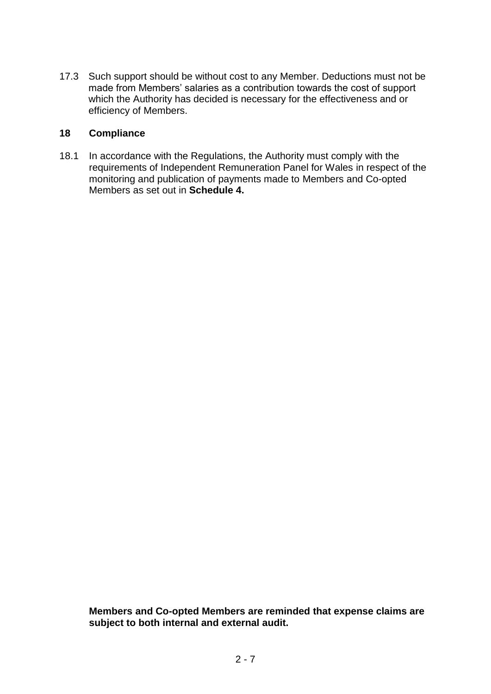17.3 Such support should be without cost to any Member. Deductions must not be made from Members' salaries as a contribution towards the cost of support which the Authority has decided is necessary for the effectiveness and or efficiency of Members.

## **18 Compliance**

18.1 In accordance with the Regulations, the Authority must comply with the requirements of Independent Remuneration Panel for Wales in respect of the monitoring and publication of payments made to Members and Co-opted Members as set out in **Schedule 4.**

**Members and Co-opted Members are reminded that expense claims are subject to both internal and external audit.**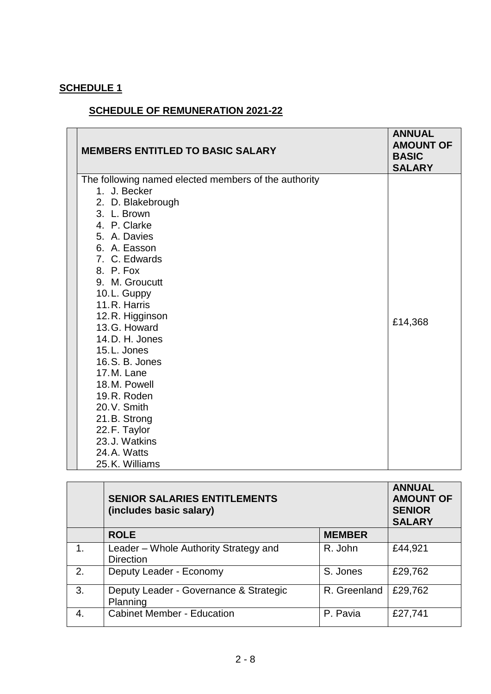# **SCHEDULE 1**

# **SCHEDULE OF REMUNERATION 2021-22**

| <b>MEMBERS ENTITLED TO BASIC SALARY</b>                              | <b>ANNUAL</b><br><b>AMOUNT OF</b><br><b>BASIC</b><br><b>SALARY</b> |
|----------------------------------------------------------------------|--------------------------------------------------------------------|
| The following named elected members of the authority<br>1. J. Becker |                                                                    |
| 2. D. Blakebrough                                                    |                                                                    |
| 3. L. Brown                                                          |                                                                    |
| 4. P. Clarke                                                         |                                                                    |
| 5. A. Davies                                                         |                                                                    |
| 6. A. Easson                                                         |                                                                    |
| 7. C. Edwards                                                        |                                                                    |
| 8. P. Fox                                                            |                                                                    |
| 9. M. Groucutt                                                       |                                                                    |
| 10.L. Guppy                                                          |                                                                    |
| 11.R. Harris                                                         |                                                                    |
| 12.R. Higginson                                                      | £14,368                                                            |
| 13.G. Howard                                                         |                                                                    |
| 14.D. H. Jones<br>15.L. Jones                                        |                                                                    |
| 16. S. B. Jones                                                      |                                                                    |
| 17.M. Lane                                                           |                                                                    |
| 18.M. Powell                                                         |                                                                    |
| 19.R. Roden                                                          |                                                                    |
| 20.V. Smith                                                          |                                                                    |
| 21.B. Strong                                                         |                                                                    |
| 22.F. Taylor                                                         |                                                                    |
| 23.J. Watkins                                                        |                                                                    |
| 24.A. Watts                                                          |                                                                    |
| 25.K. Williams                                                       |                                                                    |

|             | <b>SENIOR SALARIES ENTITLEMENTS</b><br>(includes basic salary) |               | <b>ANNUAL</b><br><b>AMOUNT OF</b><br><b>SENIOR</b><br><b>SALARY</b> |
|-------------|----------------------------------------------------------------|---------------|---------------------------------------------------------------------|
|             | <b>ROLE</b>                                                    | <b>MEMBER</b> |                                                                     |
| 1.          | Leader – Whole Authority Strategy and<br><b>Direction</b>      | R. John       | £44,921                                                             |
| 2.          | Deputy Leader - Economy                                        | S. Jones      | £29,762                                                             |
| 3.          | Deputy Leader - Governance & Strategic<br>Planning             | R. Greenland  | £29,762                                                             |
| $\mathbf 4$ | <b>Cabinet Member - Education</b>                              | P. Pavia      | £27,741                                                             |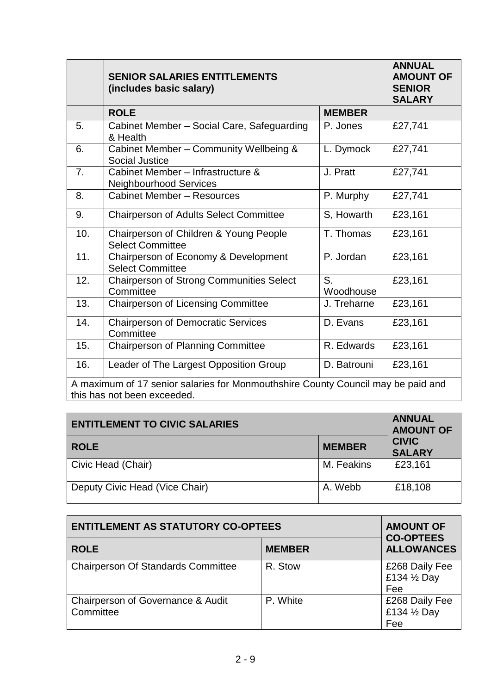|                                                                                  | <b>SENIOR SALARIES ENTITLEMENTS</b><br>(includes basic salary)     |                 | <b>ANNUAL</b><br><b>AMOUNT OF</b><br><b>SENIOR</b><br><b>SALARY</b> |
|----------------------------------------------------------------------------------|--------------------------------------------------------------------|-----------------|---------------------------------------------------------------------|
|                                                                                  | <b>ROLE</b>                                                        | <b>MEMBER</b>   |                                                                     |
| 5.                                                                               | Cabinet Member - Social Care, Safeguarding<br>& Health             | P. Jones        | £27,741                                                             |
| 6.                                                                               | Cabinet Member - Community Wellbeing &<br><b>Social Justice</b>    | L. Dymock       | £27,741                                                             |
| 7.                                                                               | Cabinet Member - Infrastructure &<br><b>Neighbourhood Services</b> | J. Pratt        | £27,741                                                             |
| 8.                                                                               | <b>Cabinet Member - Resources</b>                                  | P. Murphy       | £27,741                                                             |
| 9.                                                                               | <b>Chairperson of Adults Select Committee</b>                      | S, Howarth      | £23,161                                                             |
| 10.                                                                              | Chairperson of Children & Young People<br><b>Select Committee</b>  | T. Thomas       | £23,161                                                             |
| 11.                                                                              | Chairperson of Economy & Development<br><b>Select Committee</b>    | P. Jordan       | £23,161                                                             |
| 12.                                                                              | Chairperson of Strong Communities Select<br>Committee              | S.<br>Woodhouse | £23,161                                                             |
| 13.                                                                              | <b>Chairperson of Licensing Committee</b>                          | J. Treharne     | £23,161                                                             |
| 14.                                                                              | <b>Chairperson of Democratic Services</b><br>Committee             | D. Evans        | £23,161                                                             |
| 15.                                                                              | <b>Chairperson of Planning Committee</b>                           | R. Edwards      | £23,161                                                             |
| 16.                                                                              | Leader of The Largest Opposition Group                             | D. Batrouni     | £23,161                                                             |
| A maximum of 17 senior salaries for Monmouthshire County Council may be paid and |                                                                    |                 |                                                                     |
| this has not been exceeded.                                                      |                                                                    |                 |                                                                     |

| <b>ENTITLEMENT TO CIVIC SALARIES</b> | <b>ANNUAL</b><br><b>AMOUNT OF</b> |                               |
|--------------------------------------|-----------------------------------|-------------------------------|
| <b>ROLE</b>                          | <b>MEMBER</b>                     | <b>CIVIC</b><br><b>SALARY</b> |
| Civic Head (Chair)                   | M. Feakins                        | £23,161                       |
| Deputy Civic Head (Vice Chair)       | A. Webb                           | £18,108                       |

| <b>ENTITLEMENT AS STATUTORY CO-OPTEES</b>      | <b>AMOUNT OF</b><br><b>CO-OPTEES</b> |                                                 |
|------------------------------------------------|--------------------------------------|-------------------------------------------------|
| <b>ROLE</b>                                    | <b>MEMBER</b>                        | <b>ALLOWANCES</b>                               |
| <b>Chairperson Of Standards Committee</b>      | R. Stow                              | £268 Daily Fee<br>£134 $\frac{1}{2}$ Day<br>Fee |
| Chairperson of Governance & Audit<br>Committee | P. White                             | £268 Daily Fee<br>£134 1/2 Day<br>Fee           |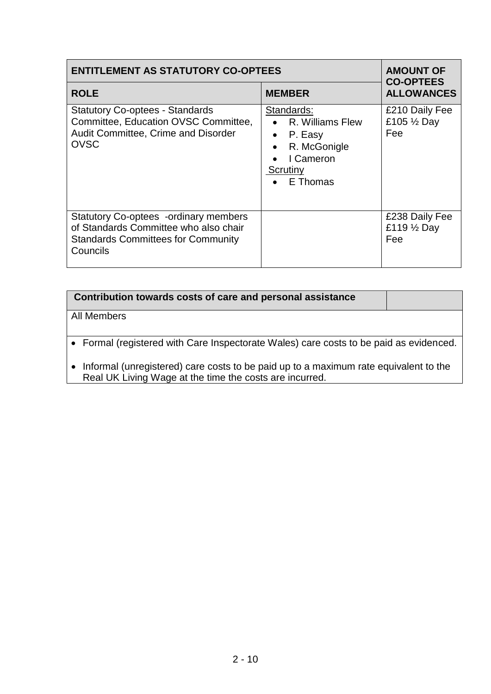| <b>ENTITLEMENT AS STATUTORY CO-OPTEES</b>                                                                                                      | <b>AMOUNT OF</b><br><b>CO-OPTEES</b>                                                                                                              |                                                 |
|------------------------------------------------------------------------------------------------------------------------------------------------|---------------------------------------------------------------------------------------------------------------------------------------------------|-------------------------------------------------|
| <b>ROLE</b>                                                                                                                                    | <b>MEMBER</b>                                                                                                                                     | <b>ALLOWANCES</b>                               |
| <b>Statutory Co-optees - Standards</b><br>Committee, Education OVSC Committee,<br>Audit Committee, Crime and Disorder<br><b>OVSC</b>           | Standards:<br>• R. Williams Flew<br>P. Easy<br>$\bullet$<br>R. McGonigle<br>$\bullet$<br>I Cameron<br>$\bullet$<br>Scrutiny<br>$\bullet$ E Thomas | £210 Daily Fee<br>£105 $\frac{1}{2}$ Day<br>Fee |
| <b>Statutory Co-optees -ordinary members</b><br>of Standards Committee who also chair<br><b>Standards Committees for Community</b><br>Councils |                                                                                                                                                   | £238 Daily Fee<br>£119 1/2 Day<br>Fee           |

| Contribution towards costs of care and personal assistance                                                                                      |  |
|-------------------------------------------------------------------------------------------------------------------------------------------------|--|
| All Members                                                                                                                                     |  |
| • Formal (registered with Care Inspectorate Wales) care costs to be paid as evidenced.                                                          |  |
| Informal (unregistered) care costs to be paid up to a maximum rate equivalent to the<br>Real UK Living Wage at the time the costs are incurred. |  |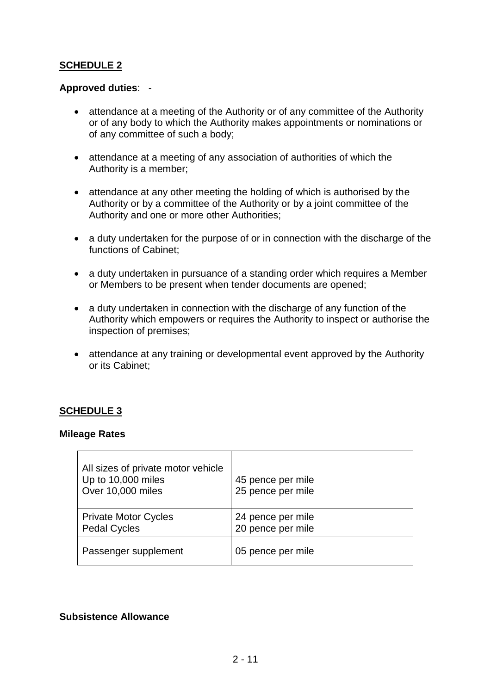## **SCHEDULE 2**

## **Approved duties**: -

- attendance at a meeting of the Authority or of any committee of the Authority or of any body to which the Authority makes appointments or nominations or of any committee of such a body;
- attendance at a meeting of any association of authorities of which the Authority is a member;
- attendance at any other meeting the holding of which is authorised by the Authority or by a committee of the Authority or by a joint committee of the Authority and one or more other Authorities;
- a duty undertaken for the purpose of or in connection with the discharge of the functions of Cabinet:
- a duty undertaken in pursuance of a standing order which requires a Member or Members to be present when tender documents are opened;
- a duty undertaken in connection with the discharge of any function of the Authority which empowers or requires the Authority to inspect or authorise the inspection of premises;
- attendance at any training or developmental event approved by the Authority or its Cabinet;

## **SCHEDULE 3**

#### **Mileage Rates**

| All sizes of private motor vehicle<br>Up to 10,000 miles<br>Over 10,000 miles | 45 pence per mile<br>25 pence per mile |
|-------------------------------------------------------------------------------|----------------------------------------|
| <b>Private Motor Cycles</b><br><b>Pedal Cycles</b>                            | 24 pence per mile<br>20 pence per mile |
| Passenger supplement                                                          | 05 pence per mile                      |

### **Subsistence Allowance**